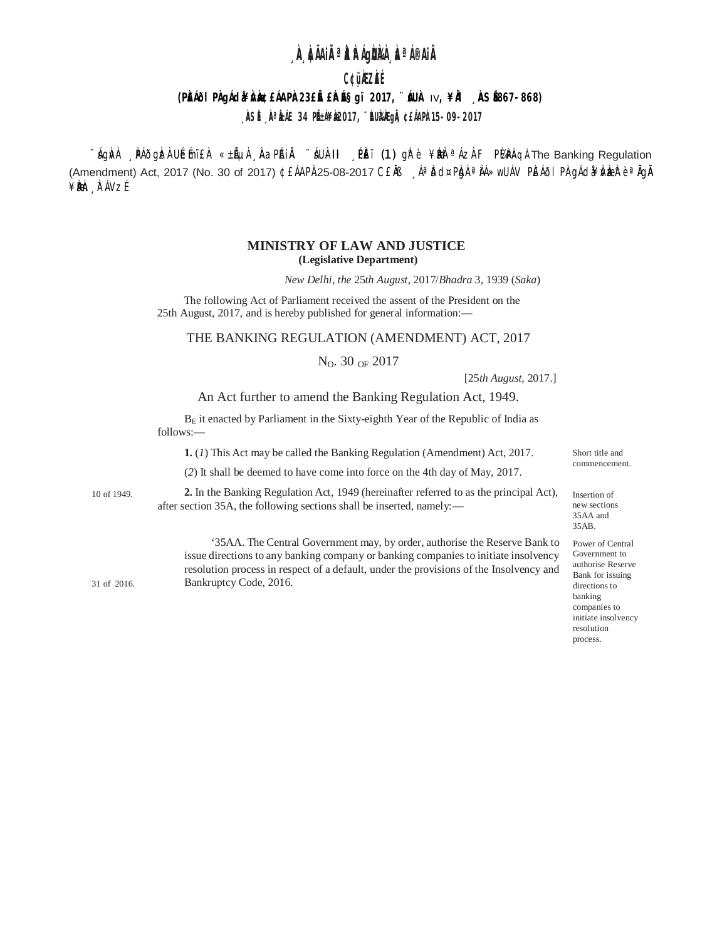# **À ÀIAIRª À ÀIGBIA À AIGE AIR**

C¢üÀZÀÉ

## (PŘÁIOI PAgÁcia¥rAzbeáAPA 23 ELÉ ERALÉS g'i 2017, "ÉUA IV, ¥RL RESERG 7-868)

, ÀSÉ Nº ÀLE 34 PIELLY À2017, "EURAGIA ¢ELAPÀ15-09-2017

<u>ົ້, ág</u>ivil NAðgizi Ubmi El «±liµil AaPAi li áUil·ll NEi (1) girte ¥bine <sup>a</sup> ázi FPMPinqi The Banking Regulation (Amendment) Act, 2017 (No. 30 of 2017) ¢EÁAPÀ:25-08-2017 CEĂB Aªbd¤Pbh ª AswUAV PEÁÕI PA qÁdà¥kber è ª AqA ¥ÈNen À AVZÉ

## MINISTRY OF LAW AND JUSTICE (Legislative Department)

New Delhi, the 25th August, 2017/Bhadra 3, 1939 (Saka)

The following Act of Parliament received the assent of the President on the 25th August, 2017, and is hereby published for general information:-

#### THE BANKING REGULATION (AMENDMENT) ACT, 2017

 $N_O$ . 30 OF 2017

[25th August, 2017.]

#### An Act further to amend the Banking Regulation Act, 1949.

 $B<sub>E</sub>$  it enacted by Parliament in the Sixty-eighth Year of the Republic of India as follows:-

1. (1) This Act may be called the Banking Regulation (Amendment) Act, 2017.

(2) It shall be deemed to have come into force on the 4th day of May, 2017.

2. In the Banking Regulation Act, 1949 (hereinafter referred to as the principal Act), 10 of 1949. after section 35A, the following sections shall be inserted, namely:—

31 of 2016.

'35AA. The Central Government may, by order, authorise the Reserve Bank to issue directions to any banking company or banking companies to initiate insolvency resolution process in respect of a default, under the provisions of the Insolvency and Bankruptcy Code, 2016.

Short title and commencement.

Insertion of new sections 35AA and 35AB.

Power of Central Government to authorise Reserve Bank for issuing directions to  $\!$ companies to initiate insolvency resolution process.